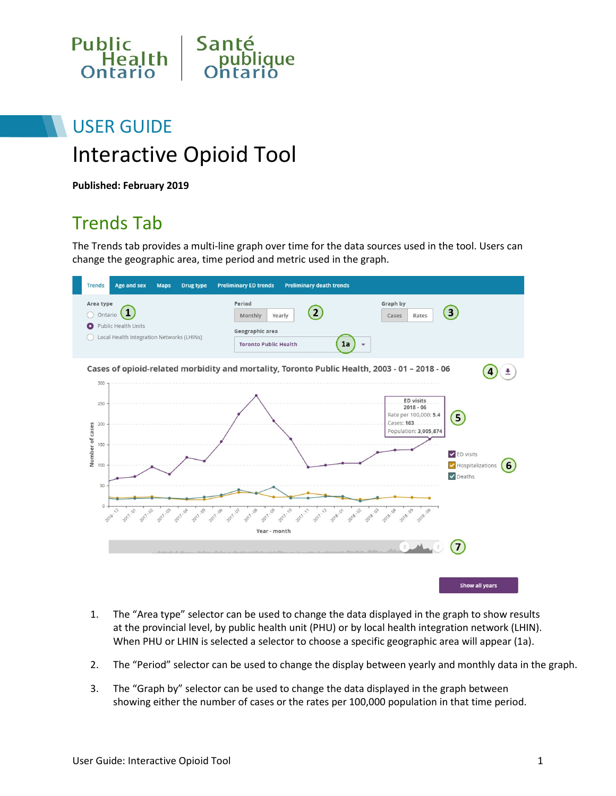

# USER GUIDE Interactive Opioid Tool

**Published: February 2019**

### Trends Tab

The Trends tab provides a multi-line graph over time for the data sources used in the tool. Users can change the geographic area, time period and metric used in the graph.



- 1. The "Area type" selector can be used to change the data displayed in the graph to show results at the provincial level, by public health unit (PHU) or by local health integration network (LHIN). When PHU or LHIN is selected a selector to choose a specific geographic area will appear (1a).
- 2. The "Period" selector can be used to change the display between yearly and monthly data in the graph.
- 3. The "Graph by" selector can be used to change the data displayed in the graph between showing either the number of cases or the rates per 100,000 population in that time period.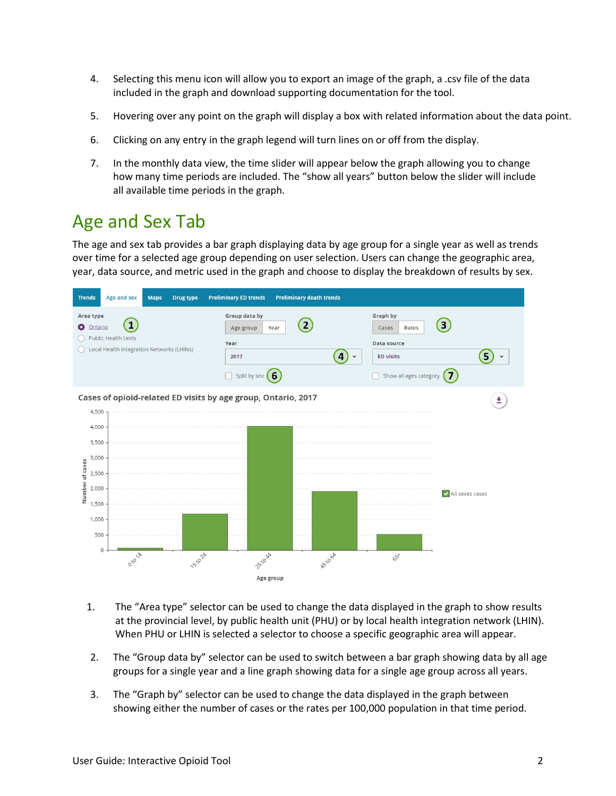- 4. Selecting this menu icon will allow you to export an image of the graph, a .csv file of the data included in the graph and download supporting documentation for the tool.
- 5. Hovering over any point on the graph will display a box with related information about the data point.
- 6. Clicking on any entry in the graph legend will turn lines on or off from the display.
- 7. In the monthly data view, the time slider will appear below the graph allowing you to change how many time periods are included. The "show all years" button below the slider will include all available time periods in the graph.

### Age and Sex Tab

The age and sex tab provides a bar graph displaying data by age group for a single year as well as trends over time for a selected age group depending on user selection. Users can change the geographic area, year, data source, and metric used in the graph and choose to display the breakdown of results by sex.



- 1. The "Area type" selector can be used to change the data displayed in the graph to show results at the provincial level, by public health unit (PHU) or by local health integration network (LHIN). When PHU or LHIN is selected a selector to choose a specific geographic area will appear.
- 2. The "Group data by" selector can be used to switch between a bar graph showing data by all age groups for a single year and a line graph showing data for a single age group across all years.
- 3. The "Graph by" selector can be used to change the data displayed in the graph between showing either the number of cases or the rates per 100,000 population in that time period.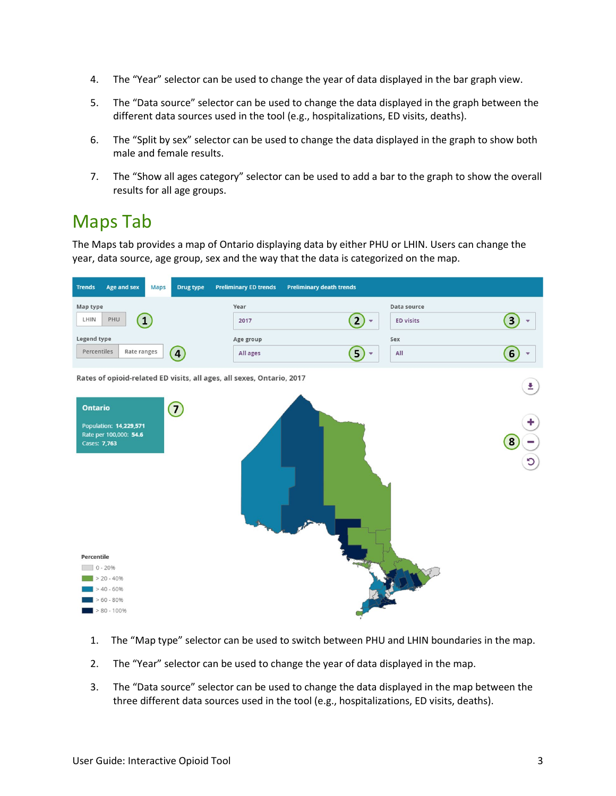- 4. The "Year" selector can be used to change the year of data displayed in the bar graph view.
- 5. The "Data source" selector can be used to change the data displayed in the graph between the different data sources used in the tool (e.g., hospitalizations, ED visits, deaths).
- 6. The "Split by sex" selector can be used to change the data displayed in the graph to show both male and female results.
- 7. The "Show all ages category" selector can be used to add a bar to the graph to show the overall results for all age groups.

### Maps Tab

The Maps tab provides a map of Ontario displaying data by either PHU or LHIN. Users can change the year, data source, age group, sex and the way that the data is categorized on the map.



- 1. The "Map type" selector can be used to switch between PHU and LHIN boundaries in the map.
- 2. The "Year" selector can be used to change the year of data displayed in the map.
- 3. The "Data source" selector can be used to change the data displayed in the map between the three different data sources used in the tool (e.g., hospitalizations, ED visits, deaths).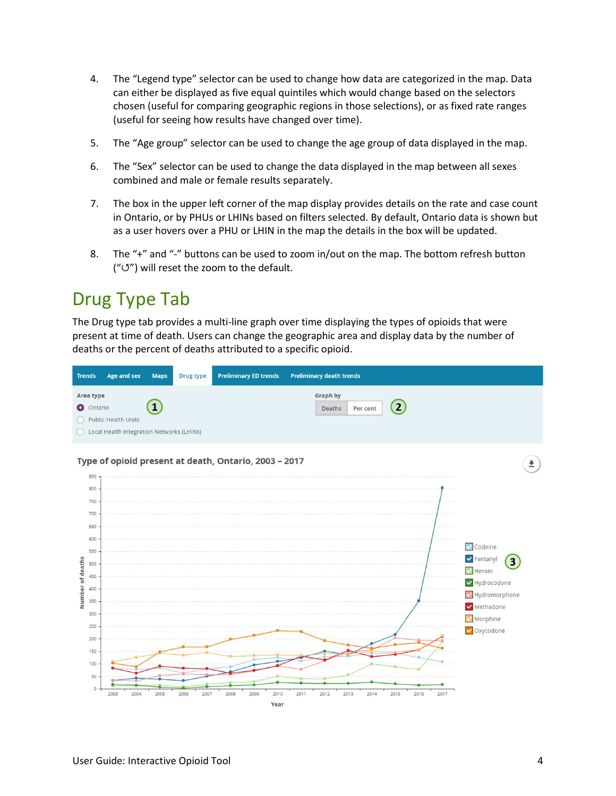- 4. The "Legend type" selector can be used to change how data are categorized in the map. Data can either be displayed as five equal quintiles which would change based on the selectors chosen (useful for comparing geographic regions in those selections), or as fixed rate ranges (useful for seeing how results have changed over time).
- 5. The "Age group" selector can be used to change the age group of data displayed in the map.
- 6. The "Sex" selector can be used to change the data displayed in the map between all sexes combined and male or female results separately.
- 7. The box in the upper left corner of the map display provides details on the rate and case count in Ontario, or by PHUs or LHINs based on filters selected. By default, Ontario data is shown but as a user hovers over a PHU or LHIN in the map the details in the box will be updated.
- 8. The "+" and "-" buttons can be used to zoom in/out on the map. The bottom refresh button ("↺") will reset the zoom to the default.

### Drug Type Tab

The Drug type tab provides a multi-line graph over time displaying the types of opioids that were present at time of death. Users can change the geographic area and display data by the number of deaths or the percent of deaths attributed to a specific opioid.

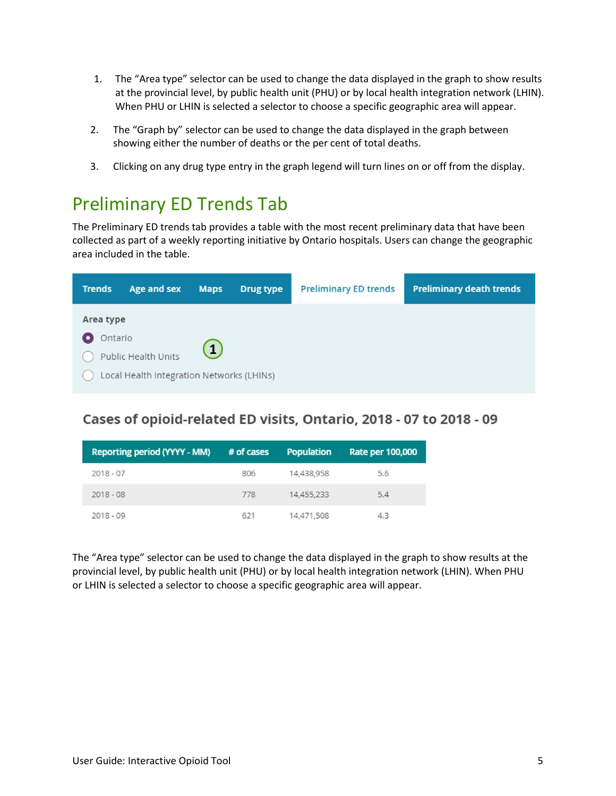- 1. The "Area type" selector can be used to change the data displayed in the graph to show results at the provincial level, by public health unit (PHU) or by local health integration network (LHIN). When PHU or LHIN is selected a selector to choose a specific geographic area will appear.
- 2. The "Graph by" selector can be used to change the data displayed in the graph between showing either the number of deaths or the per cent of total deaths.
- 3. Clicking on any drug type entry in the graph legend will turn lines on or off from the display.

### Preliminary ED Trends Tab

The Preliminary ED trends tab provides a table with the most recent preliminary data that have been collected as part of a weekly reporting initiative by Ontario hospitals. Users can change the geographic area included in the table.

| <b>Trends</b>        | Age and sex                                                      | <b>Maps</b>  | Drug type | <b>Preliminary ED trends</b> | <b>Preliminary death trends</b> |
|----------------------|------------------------------------------------------------------|--------------|-----------|------------------------------|---------------------------------|
| Area type<br>Ontario |                                                                  | $\mathbf{1}$ |           |                              |                                 |
|                      | Public Health Units<br>Local Health Integration Networks (LHINs) |              |           |                              |                                 |

### Cases of opioid-related ED visits, Ontario, 2018 - 07 to 2018 - 09

| Reporting period (YYYY - MM) | # of cases | <b>Population</b> | Rate per 100,000 |
|------------------------------|------------|-------------------|------------------|
| $2018 - 07$                  | 806        | 14,438,958        | 5.6              |
| $2018 - 08$                  | 778        | 14.455.233        | 5.4              |
| $2018 - 09$                  | 621        | 14,471,508        | 4.3              |

The "Area type" selector can be used to change the data displayed in the graph to show results at the provincial level, by public health unit (PHU) or by local health integration network (LHIN). When PHU or LHIN is selected a selector to choose a specific geographic area will appear.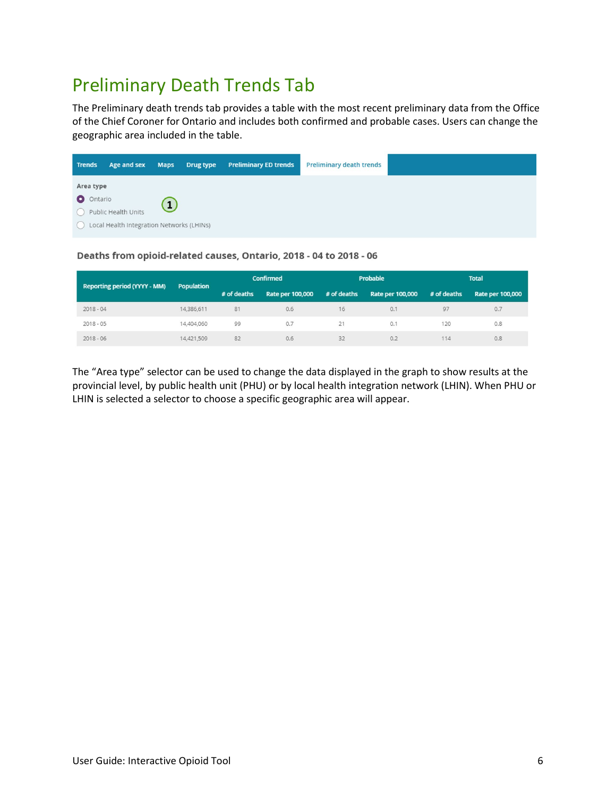## Preliminary Death Trends Tab

The Preliminary death trends tab provides a table with the most recent preliminary data from the Office of the Chief Coroner for Ontario and includes both confirmed and probable cases. Users can change the geographic area included in the table.

| <b>Trends</b>          | Age and sex                                                      | <b>Maps</b> | <b>Drug type</b> | <b>Preliminary ED trends</b> | <b>Preliminary death trends</b> |
|------------------------|------------------------------------------------------------------|-------------|------------------|------------------------------|---------------------------------|
| Area type<br>O Ontario | Public Health Units<br>Local Health Integration Networks (LHINs) |             |                  |                              |                                 |

#### Deaths from opioid-related causes, Ontario, 2018 - 04 to 2018 - 06

|                                     | <b>Population</b> | <b>Confirmed</b> |                  | Probable    |                  | <b>Total</b> |                         |
|-------------------------------------|-------------------|------------------|------------------|-------------|------------------|--------------|-------------------------|
| <b>Reporting period (YYYY - MM)</b> |                   | # of deaths      | Rate per 100,000 | # of deaths | Rate per 100,000 | # of deaths  | <b>Rate per 100,000</b> |
| $2018 - 04$                         | 14,386,611        | 81               | 0.6              | 16          | 0.1              | 97           | 0.7                     |
| $2018 - 05$                         | 14,404,060        | 99               | 0.7              | 21          | 0.1              | 120          | 0.8                     |
| $2018 - 06$                         | 14,421,509        | 82               | 0.6              | 32          | 0.2              | 114          | 0.8                     |

The "Area type" selector can be used to change the data displayed in the graph to show results at the provincial level, by public health unit (PHU) or by local health integration network (LHIN). When PHU or LHIN is selected a selector to choose a specific geographic area will appear.